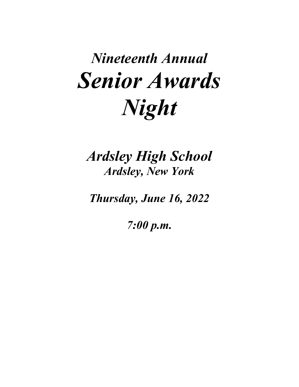# *Nineteenth Annual Senior Awards Night*

*Ardsley High School Ardsley, New York*

*Thursday, June 16, 2022*

*7:00 p.m.*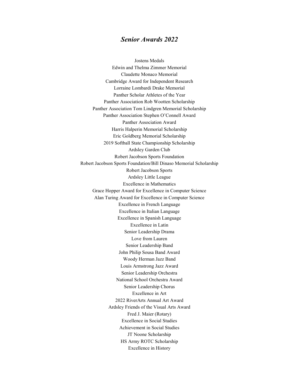## *Senior Awards 2022*

Jostens Medals Edwin and Thelma Zimmer Memorial Claudette Monaco Memorial Cambridge Award for Independent Research Lorraine Lombardi Drake Memorial Panther Scholar Athletes of the Year Panther Association Rob Wootten Scholarship Panther Association Tom Lindgren Memorial Scholarship Panther Association Stephen O'Connell Award Panther Association Award Harris Halperin Memorial Scholarship Eric Goldberg Memorial Scholarship 2019 Softball State Championship Scholarship Ardsley Garden Club Robert Jacobson Sports Foundation Robert Jacobson Sports Foundation/Bill Dinaso Memorial Scholarship Robert Jacobson Sports Ardsley Little League Excellence in Mathematics Grace Hopper Award for Excellence in Computer Science Alan Turing Award for Excellence in Computer Science Excellence in French Language Excellence in Italian Language Excellence in Spanish Language Excellence in Latin Senior Leadership Drama Love from Lauren Senior Leadership Band John Philip Sousa Band Award Woody Herman Jazz Band Louis Armstrong Jazz Award Senior Leadership Orchestra National School Orchestra Award Senior Leadership Chorus Excellence in Art 2022 RiverArts Annual Art Award Ardsley Friends of the Visual Arts Award Fred J. Maier (Rotary) Excellence in Social Studies Achievement in Social Studies JT Noone Scholarship HS Army ROTC Scholarship Excellence in History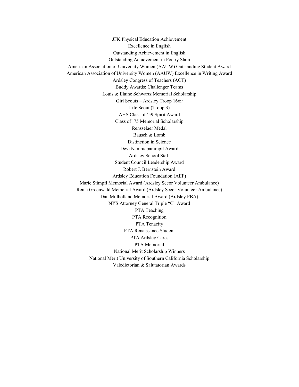JFK Physical Education Achievement Excellence in English Outstanding Achievement in English Outstanding Achievement in Poetry Slam American Association of University Women (AAUW) Outstanding Student Award American Association of University Women (AAUW) Excellence in Writing Award Ardsley Congress of Teachers (ACT) Buddy Awards: Challenger Teams Louis & Elaine Schwartz Memorial Scholarship Girl Scouts – Ardsley Troop 1669 Life Scout (Troop 3) AHS Class of '59 Spirit Award Class of '75 Memorial Scholarship Rensselaer Medal Bausch & Lomb Distinction in Science Devi Nampiaparampil Award Ardsley School Staff Student Council Leadership Award Robert J. Bernstein Award Ardsley Education Foundation (AEF) Marie Stimpfl Memorial Award (Ardsley Secor Volunteer Ambulance) Reina Greenwald Memorial Award (Ardsley Secor Volunteer Ambulance) Dan Mulholland Memorial Award (Ardsley PBA) NYS Attorney General Triple "C" Award PTA Teaching PTA Recognition PTA Tenacity PTA Renaissance Student PTA Ardsley Cares PTA Memorial National Merit Scholarship Winners National Merit University of Southern California Scholarship Valedictorian & Salutatorian Awards